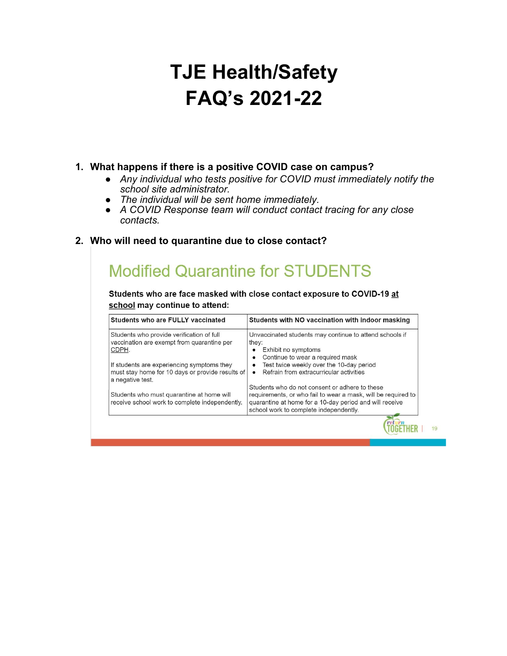# **TJE Health/Safety FAQ's 2021-22**

#### **1. What happens if there is a positive COVID case on campus?**

- *Any individual who tests positive for COVID must immediately notify the school site administrator.*
- *The individual will be sent home immediately.*
- *A COVID Response team will conduct contact tracing for any close contacts.*
- **2. Who will need to quarantine due to close contact?**

# **Modified Quarantine for STUDENTS**

Students who are face masked with close contact exposure to COVID-19 at school may continue to attend:

| Students who are FULLY vaccinated                                                                                  | Students with NO vaccination with indoor masking                                                                                                                                                                     |
|--------------------------------------------------------------------------------------------------------------------|----------------------------------------------------------------------------------------------------------------------------------------------------------------------------------------------------------------------|
| Students who provide verification of full<br>vaccination are exempt from quarantine per<br>CDPH.                   | Unvaccinated students may continue to attend schools if<br>they:<br>Exhibit no symptoms<br>Continue to wear a required mask<br>$\bullet$                                                                             |
| If students are experiencing symptoms they<br>must stay home for 10 days or provide results of<br>a negative test. | Test twice weekly over the 10-day period<br>٠<br>Refrain from extracurricular activities<br>$\bullet$                                                                                                                |
| Students who must quarantine at home will<br>receive school work to complete independently.                        | Students who do not consent or adhere to these<br>requirements, or who fail to wear a mask, will be required to<br>quarantine at home for a 10-day period and will receive<br>school work to complete independently. |

 $19$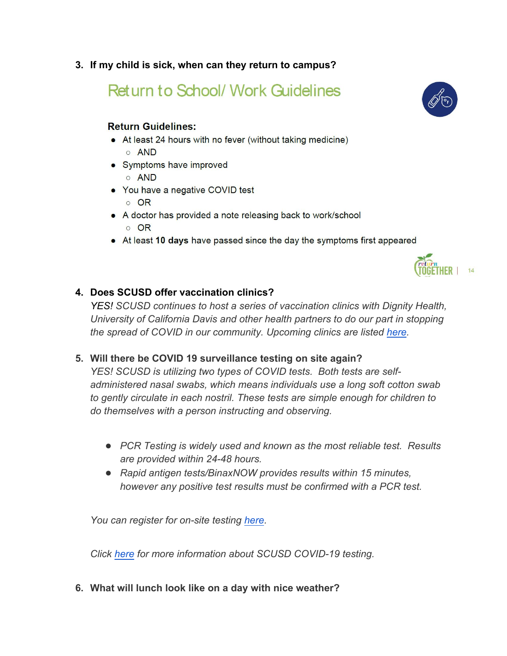**3. If my child is sick, when can they return to campus?**

**Return to School/ Work Guidelines** 

#### **Return Guidelines:**

- At least 24 hours with no fever (without taking medicine)  $\circ$  AND
- Symptoms have improved
	- $\circ$  AND
- You have a negative COVID test
	- o OR
- A doctor has provided a note releasing back to work/school
	- o OR
- At least 10 days have passed since the day the symptoms first appeared



## **4. Does SCUSD offer vaccination clinics?**

*YES! SCUSD continues to host a series of vaccination clinics with Dignity Health, University of California Davis and other health partners to do our part in stopping the spread of COVID in our community. Upcoming clinics are listed here.*

# **5. Will there be COVID 19 surveillance testing on site again?**

*YES! SCUSD is utilizing two types of COVID tests. Both tests are selfadministered nasal swabs, which means individuals use a long soft cotton swab to gently circulate in each nostril. These tests are simple enough for children to do themselves with a person instructing and observing.* 

- *PCR Testing is widely used and known as the most reliable test. Results are provided within 24-48 hours.*
- *Rapid antigen tests/BinaxNOW provides results within 15 minutes, however any positive test results must be confirmed with a PCR test.*

*You can register for on-site testing here.* 

*Click here for more information about SCUSD COVID-19 testing.*

**6. What will lunch look like on a day with nice weather?**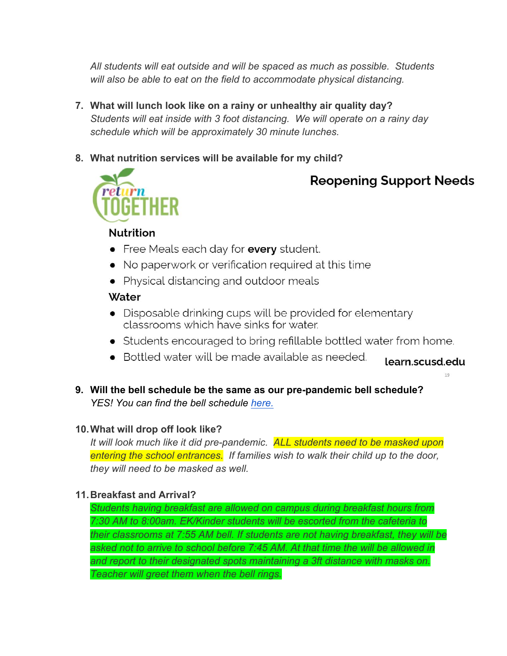*All students will eat outside and will be spaced as much as possible. Students will also be able to eat on the field to accommodate physical distancing.*

- **7. What will lunch look like on a rainy or unhealthy air quality day?** *Students will eat inside with 3 foot distancing. We will operate on a rainy day schedule which will be approximately 30 minute lunches.*
- **8. What nutrition services will be available for my child?**



# **Reopening Support Needs**

# **Nutrition**

- Free Meals each day for every student.
- No paperwork or verification required at this time
- Physical distancing and outdoor meals

## Water

- Disposable drinking cups will be provided for elementary classrooms which have sinks for water.
- Students encouraged to bring refillable bottled water from home.
- Bottled water will be made available as needed. learn.scusd.edu

 $19$ 

**9. Will the bell schedule be the same as our pre-pandemic bell schedule?** *YES! You can find the bell schedule here.*

# **10.What will drop off look like?**

*It will look much like it did pre-pandemic. ALL students need to be masked upon entering the school entrances. If families wish to walk their child up to the door, they will need to be masked as well.* 

# **11.Breakfast and Arrival?**

*Students having breakfast are allowed on campus during breakfast hours from 7:30 AM to 8:00am. EK/Kinder students will be escorted from the cafeteria to their classrooms at 7:55 AM bell. If students are not having breakfast, they will be*  asked not to arrive to school before 7:45 AM. At that time the will be allowed in *and report to their designated spots maintaining a 3ft distance with masks on. Teacher will greet them when the bell rings.*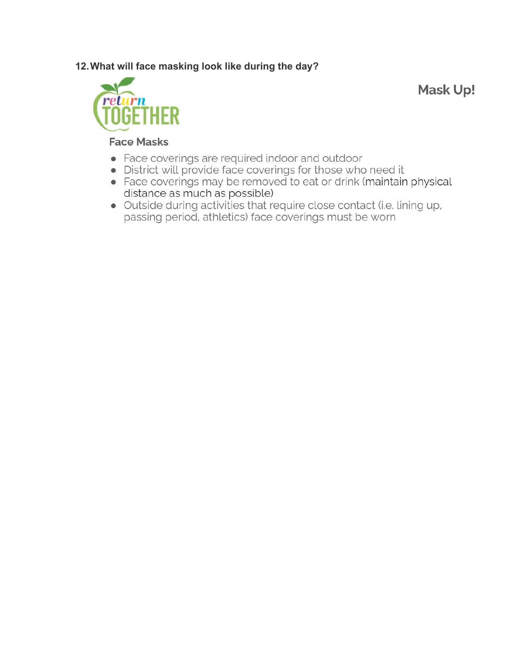## 12. What will face masking look like during the day?



Mask Up!

#### **Face Masks**

- Face coverings are required indoor and outdoor
- · District will provide face coverings for those who need it
- Face coverings may be removed to eat or drink (maintain physical distance as much as possible)
- · Outside during activities that require close contact (i.e. lining up, passing period, athletics) face coverings must be worn